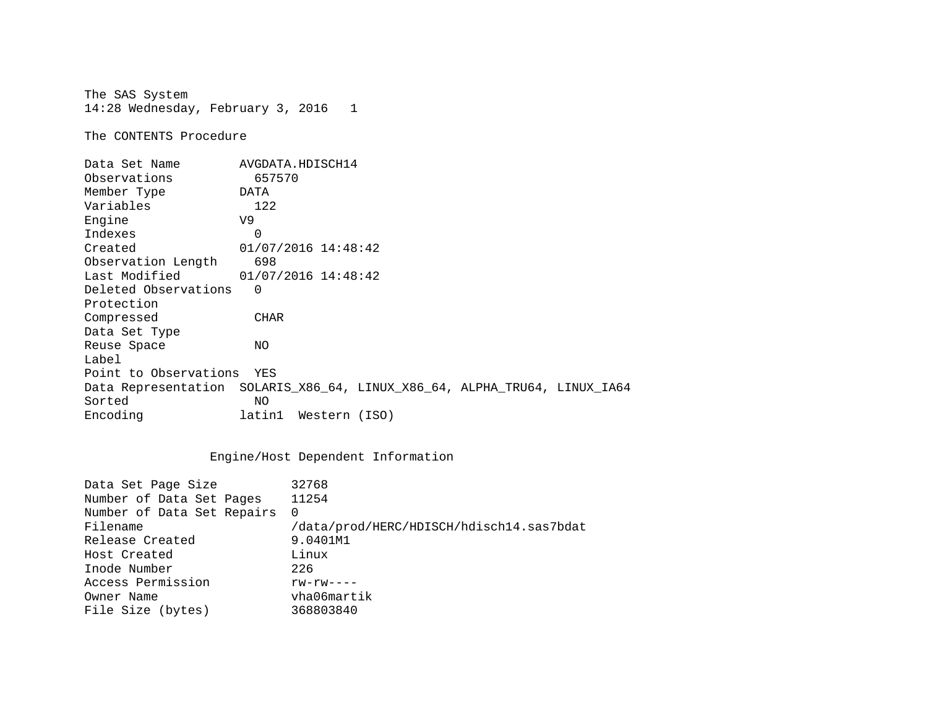The SAS System 14:28 Wednesday, February 3, 2016 1

The CONTENTS Procedure

| Data Set Name         | AVGDATA.HDISCH14                                                          |
|-----------------------|---------------------------------------------------------------------------|
| Observations          | 657570                                                                    |
| Member Type           | DATA                                                                      |
| Variables             | 122                                                                       |
| Engine                | V9                                                                        |
| Indexes               | $\Omega$                                                                  |
| Created               | 01/07/2016 14:48:42                                                       |
| Observation Length    | 698                                                                       |
| Last Modified         | $01/07/2016$ 14:48:42                                                     |
| Deleted Observations  | $\Omega$                                                                  |
| Protection            |                                                                           |
| Compressed            | <b>CHAR</b>                                                               |
| Data Set Type         |                                                                           |
| Reuse Space           | NO.                                                                       |
| Label                 |                                                                           |
| Point to Observations | YES                                                                       |
|                       | Data Representation SOLARIS_X86_64, LINUX_X86_64, ALPHA_TRU64, LINUX_IA64 |
| Sorted                | NO.                                                                       |
| Encoding              | latin1<br>Western (ISO)                                                   |

## Engine/Host Dependent Information

| /data/prod/HERC/HDISCH/hdisch14.sas7bdat |
|------------------------------------------|
|                                          |
|                                          |
|                                          |
|                                          |
|                                          |
|                                          |
|                                          |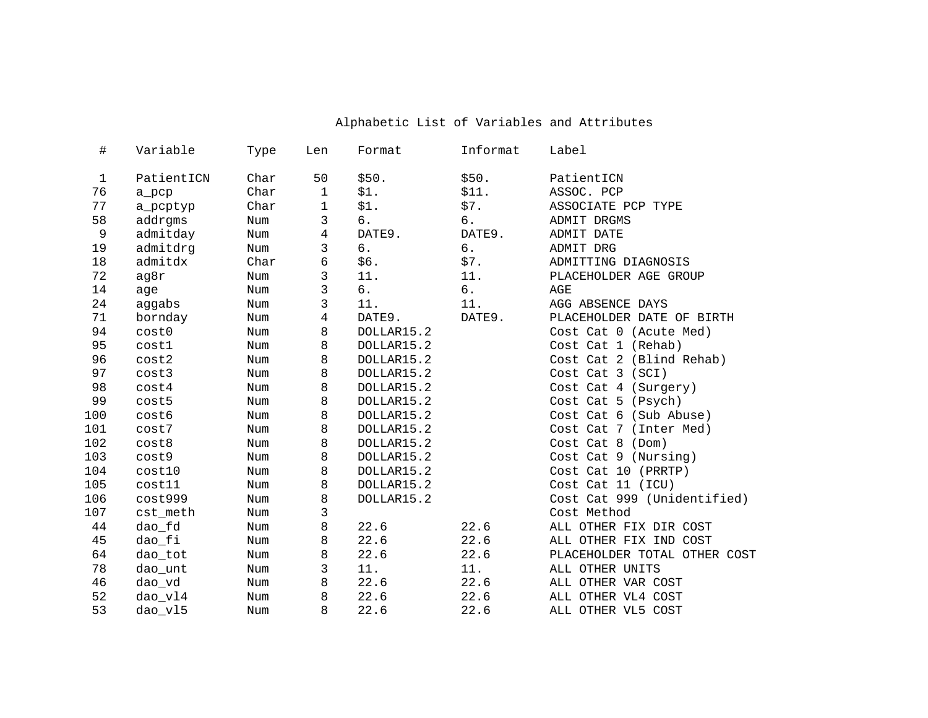| Variable   | Type                                                                   | Len          | Format                               | Informat                                            | Label                                       |
|------------|------------------------------------------------------------------------|--------------|--------------------------------------|-----------------------------------------------------|---------------------------------------------|
| PatientICN | Char                                                                   | 50           | \$50.                                | \$50.                                               | PatientICN                                  |
|            | Char                                                                   | $\mathbf{1}$ | \$1.                                 | \$11.                                               | ASSOC. PCP                                  |
|            | Char                                                                   | 1            |                                      |                                                     | ASSOCIATE PCP TYPE                          |
|            | Num                                                                    | 3            | б.                                   | б.                                                  | ADMIT DRGMS                                 |
| admitday   | Num                                                                    | 4            | DATE9.                               | DATE9.                                              | ADMIT DATE                                  |
| admitdrg   | Num                                                                    | 3            | б.                                   | б.                                                  | ADMIT DRG                                   |
| admitdx    | Char                                                                   | 6            | \$6.                                 | \$7.                                                | ADMITTING DIAGNOSIS                         |
| ag8r       | Num                                                                    | 3            | 11.                                  | 11.                                                 | PLACEHOLDER AGE GROUP                       |
| age        | Num                                                                    | 3            | б.                                   | б.                                                  | AGE                                         |
| aggabs     | Num                                                                    | 3            | 11.                                  | 11.                                                 | AGG ABSENCE DAYS                            |
| bornday    | Num                                                                    | 4            | DATE9.                               | DATE9.                                              | PLACEHOLDER DATE OF BIRTH                   |
| cost0      | Num                                                                    | 8            | DOLLAR15.2                           |                                                     | Cost Cat 0 (Acute Med)                      |
| cost1      | Num                                                                    | 8            | DOLLAR15.2                           |                                                     | Cost Cat 1 (Rehab)                          |
| cost2      | Num                                                                    | 8            | DOLLAR15.2                           |                                                     | Cost Cat 2 (Blind Rehab)                    |
| cost3      | Num                                                                    | 8            | DOLLAR15.2                           |                                                     | Cost Cat 3 (SCI)                            |
| cost4      | Num                                                                    | 8            | DOLLAR15.2                           |                                                     | Cost Cat 4 (Surgery)                        |
| cost5      | Num                                                                    | 8            | DOLLAR15.2                           |                                                     | Cost Cat 5 (Psych)                          |
| cost6      | Num                                                                    | 8            | DOLLAR15.2                           |                                                     | Cost Cat 6 (Sub Abuse)                      |
| cost7      | Num                                                                    | 8            | DOLLAR15.2                           |                                                     | Cost Cat 7 (Inter Med)                      |
| cost8      | Num                                                                    | 8            | DOLLAR15.2                           |                                                     | Cost Cat 8 (Dom)                            |
| cost9      | Num                                                                    | 8            | DOLLAR15.2                           |                                                     | Cost Cat 9 (Nursing)                        |
| cost10     | Num                                                                    | 8            | DOLLAR15.2                           |                                                     | Cost Cat 10 (PRRTP)                         |
| cost11     | Num                                                                    |              | DOLLAR15.2                           |                                                     | Cost Cat 11 (ICU)                           |
|            | Num                                                                    |              | DOLLAR15.2                           |                                                     | Cost Cat 999 (Unidentified)                 |
| cst_meth   | Num                                                                    |              |                                      |                                                     | Cost Method                                 |
|            | Num                                                                    |              |                                      |                                                     | ALL OTHER FIX DIR COST                      |
|            | Num                                                                    |              |                                      |                                                     | ALL OTHER FIX IND COST                      |
|            | Num                                                                    |              |                                      |                                                     | PLACEHOLDER TOTAL OTHER COST                |
| dao_unt    | Num                                                                    |              |                                      |                                                     | ALL OTHER UNITS                             |
| dao_vd     | Num                                                                    |              |                                      |                                                     | ALL OTHER VAR COST                          |
| dao_vl4    | Num                                                                    | 8            | 22.6<br>22.6                         |                                                     | ALL OTHER VL4 COST                          |
| dao_vl5    | Num                                                                    | 8            |                                      | 22.6                                                | ALL OTHER VL5 COST                          |
|            | a_pcp<br>a_pcptyp<br>addrgms<br>cost999<br>dao_fd<br>dao_fi<br>dao_tot |              | 8<br>8<br>3<br>8<br>8<br>8<br>3<br>8 | \$1.<br>22.6<br>22.6<br>22.6<br>11.<br>22.6<br>22.6 | \$7.<br>22.6<br>22.6<br>22.6<br>11.<br>22.6 |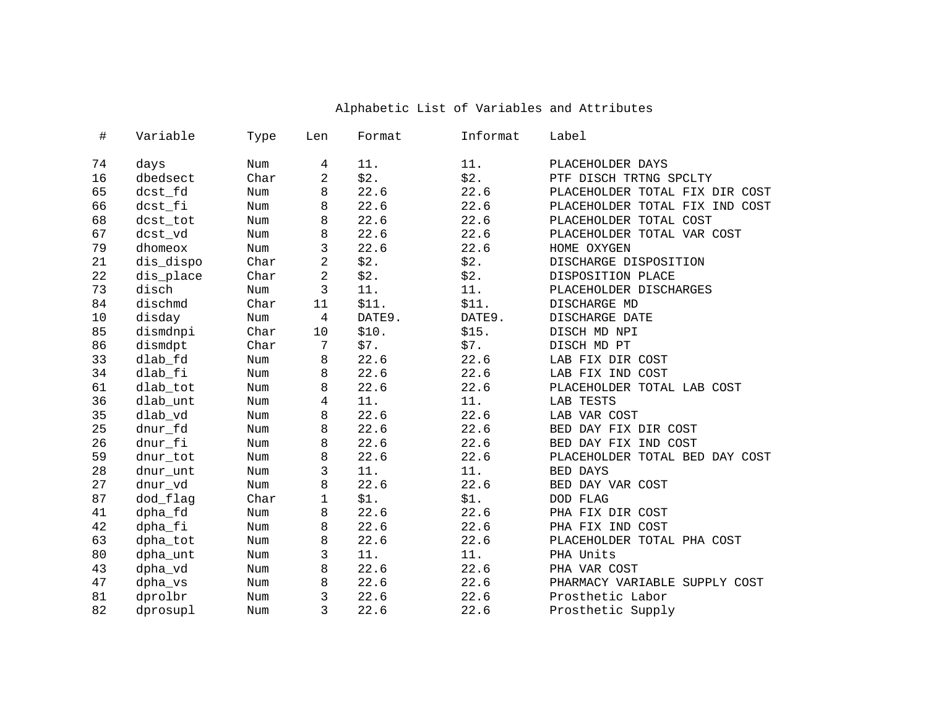| $\#$ | Variable  | Type | Len            | Format | Informat | Label                          |
|------|-----------|------|----------------|--------|----------|--------------------------------|
| 74   | days      | Num  | 4              | 11.    | 11.      | PLACEHOLDER DAYS               |
| 16   | dbedsect  | Char | 2              | \$2.   | \$2.     | PTF DISCH TRTNG SPCLTY         |
| 65   | dcst_fd   | Num  | 8              | 22.6   | 22.6     | PLACEHOLDER TOTAL FIX DIR COST |
| 66   | dcst_fi   | Num  | 8              | 22.6   | 22.6     | PLACEHOLDER TOTAL FIX IND COST |
| 68   | dcst_tot  | Num  | 8              | 22.6   | 22.6     | PLACEHOLDER TOTAL COST         |
| 67   | dcst_vd   | Num  | 8              | 22.6   | 22.6     | PLACEHOLDER TOTAL VAR COST     |
| 79   | dhomeox   | Num  | 3              | 22.6   | 22.6     | HOME OXYGEN                    |
| 21   | dis_dispo | Char | $\overline{a}$ | \$2.   | \$2.     | DISCHARGE DISPOSITION          |
| 22   | dis_place | Char | $\overline{2}$ | \$2.   | \$2.     | DISPOSITION PLACE              |
| 73   | disch     | Num  | 3              | 11.    | 11.      | PLACEHOLDER DISCHARGES         |
| 84   | dischmd   | Char | 11             | \$11.  | \$11.    | DISCHARGE MD                   |
| 10   | disday    | Num  | $\overline{4}$ | DATE9. | DATE9.   | DISCHARGE DATE                 |
| 85   | dismdnpi  | Char | 10             | \$10.  | \$15.    | DISCH MD NPI                   |
| 86   | dismdpt   | Char | 7              | \$7.   | \$7.     | DISCH MD PT                    |
| 33   | dlab_fd   | Num  | 8              | 22.6   | 22.6     | LAB FIX DIR COST               |
| 34   | dlab_fi   | Num  | 8              | 22.6   | 22.6     | LAB FIX IND COST               |
| 61   | dlab_tot  | Num  | 8              | 22.6   | 22.6     | PLACEHOLDER TOTAL LAB COST     |
| 36   | dlab_unt  | Num  | 4              | 11.    | 11.      | LAB TESTS                      |
| 35   | dlab_vd   | Num  | 8              | 22.6   | 22.6     | LAB VAR COST                   |
| 25   | dnur_fd   | Num  | 8              | 22.6   | 22.6     | BED DAY FIX DIR COST           |
| 26   | dnur_fi   | Num  | 8              | 22.6   | 22.6     | BED DAY FIX IND COST           |
| 59   | dnur_tot  | Num  | 8              | 22.6   | 22.6     | PLACEHOLDER TOTAL BED DAY COST |
| 28   | dnur unt  | Num  | 3              | 11.    | 11.      | <b>BED DAYS</b>                |
| 27   | dnur_vd   | Num  | 8              | 22.6   | 22.6     | BED DAY VAR COST               |
| 87   | dod_flag  | Char | $\mathbf{1}$   | \$1.   | \$1.     | DOD FLAG                       |
| 41   | dpha_fd   | Num  | 8              | 22.6   | 22.6     | PHA FIX DIR COST               |
| 42   | dpha_fi   | Num  | 8              | 22.6   | 22.6     | PHA FIX IND COST               |
| 63   | dpha_tot  | Num  | 8              | 22.6   | 22.6     | PLACEHOLDER TOTAL PHA COST     |
| 80   | dpha_unt  | Num  | 3              | 11.    | 11.      | PHA Units                      |
| 43   | dpha_vd   | Num  | 8              | 22.6   | 22.6     | PHA VAR COST                   |
| 47   | dpha_vs   | Num  | 8              | 22.6   | 22.6     | PHARMACY VARIABLE SUPPLY COST  |
| 81   | dprolbr   | Num  | 3              | 22.6   | 22.6     | Prosthetic Labor               |
| 82   | dprosupl  | Num  | 3              | 22.6   | 22.6     | Prosthetic Supply              |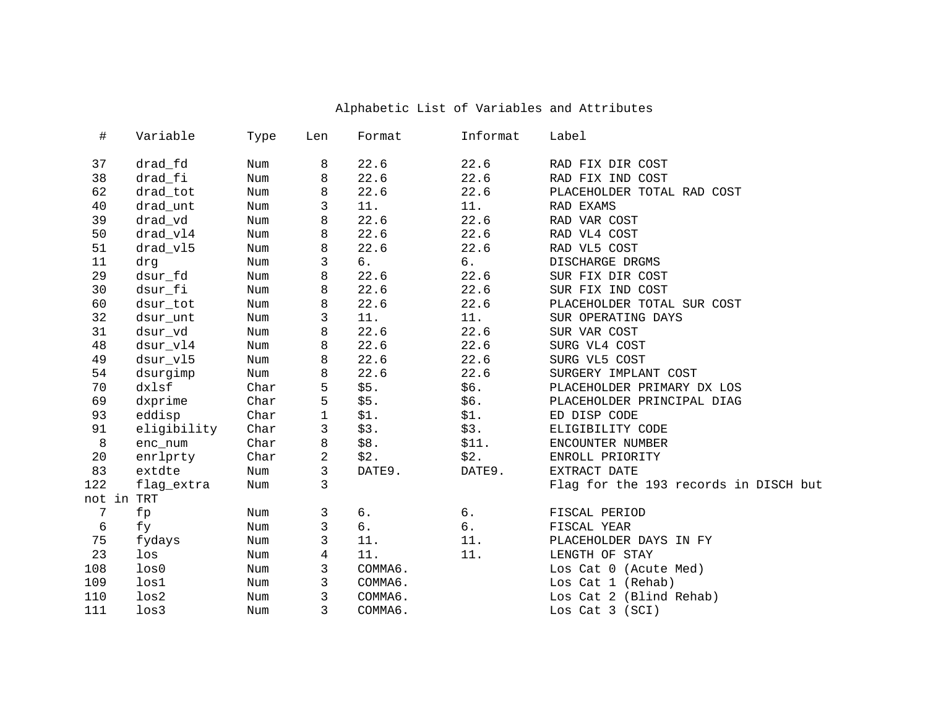| $\#$       | Variable         | Type | Len | Format  | Informat | Label                                 |
|------------|------------------|------|-----|---------|----------|---------------------------------------|
| 37         | drad_fd          | Num  | 8   | 22.6    | 22.6     | RAD FIX DIR COST                      |
| 38         | drad_fi          | Num  | 8   | 22.6    | 22.6     | RAD FIX IND COST                      |
| 62         | drad_tot         | Num  | 8   | 22.6    | 22.6     | PLACEHOLDER TOTAL RAD COST            |
| 40         | drad_unt         | Num  | 3   | 11.     | 11.      | RAD EXAMS                             |
| 39         | drad_vd          | Num  | 8   | 22.6    | 22.6     | RAD VAR COST                          |
| 50         | drad_vl4         | Num  | 8   | 22.6    | 22.6     | RAD VL4 COST                          |
| 51         | drad_v15         | Num  | 8   | 22.6    | 22.6     | RAD VL5 COST                          |
| 11         | drg              | Num  | 3   | б.      | б.       | DISCHARGE DRGMS                       |
| 29         | dsur_fd          | Num  | 8   | 22.6    | 22.6     | SUR FIX DIR COST                      |
| 30         | dsur_fi          | Num  | 8   | 22.6    | 22.6     | SUR FIX IND COST                      |
| 60         | dsur_tot         | Num  | 8   | 22.6    | 22.6     | PLACEHOLDER TOTAL SUR COST            |
| 32         | dsur_unt         | Num  | 3   | 11.     | 11.      | SUR OPERATING DAYS                    |
| 31         | dsur_vd          | Num  | 8   | 22.6    | 22.6     | SUR VAR COST                          |
| 48         | dsur_vl4         | Num  | 8   | 22.6    | 22.6     | SURG VL4 COST                         |
| 49         | dsur_v15         | Num  | 8   | 22.6    | 22.6     | SURG VL5 COST                         |
| 54         | dsurgimp         | Num  | 8   | 22.6    | 22.6     | SURGERY IMPLANT COST                  |
| 70         | dxlsf            | Char | 5   | \$5.    | \$6.     | PLACEHOLDER PRIMARY DX LOS            |
| 69         | dxprime          | Char | 5   | \$5.    | \$6.     | PLACEHOLDER PRINCIPAL DIAG            |
| 93         | eddisp           | Char | 1   | \$1.    | \$1.     | ED DISP CODE                          |
| 91         | eligibility      | Char | 3   | \$3.    | \$3.     | ELIGIBILITY CODE                      |
| $\,8\,$    | enc_num          | Char | 8   | \$8.    | \$11.    | ENCOUNTER NUMBER                      |
| 20         | enrlprty         | Char | 2   | \$2.    | \$2.     | ENROLL PRIORITY                       |
| 83         | extdte           | Num  | 3   | DATE9.  | DATE9.   | EXTRACT DATE                          |
| 122        | flag_extra       | Num  | 3   |         |          | Flag for the 193 records in DISCH but |
| not in TRT |                  |      |     |         |          |                                       |
| 7          | fp               | Num  | 3   | б.      | 6.       | FISCAL PERIOD                         |
| 6          | fу               | Num  | 3   | б.      | б.       | FISCAL YEAR                           |
| 75         | fydays           | Num  | 3   | 11.     | 11.      | PLACEHOLDER DAYS IN FY                |
| 23         | $_{\text{los}}$  | Num  | 4   | 11.     | 11.      | LENGTH OF STAY                        |
| 108        | $_{\text{los0}}$ | Num  | 3   | COMMA6. |          | Los Cat 0 (Acute Med)                 |
| 109        | $_{\rm los1}$    | Num  | 3   | COMMA6. |          | Los Cat 1 (Rehab)                     |
| 110        | loss2            | Num  | 3   | COMMA6. |          | Los Cat 2 (Blind Rehab)               |
| 111        | $_{\text{los}3}$ | Num  | 3   | COMMA6. |          | Los Cat 3 (SCI)                       |